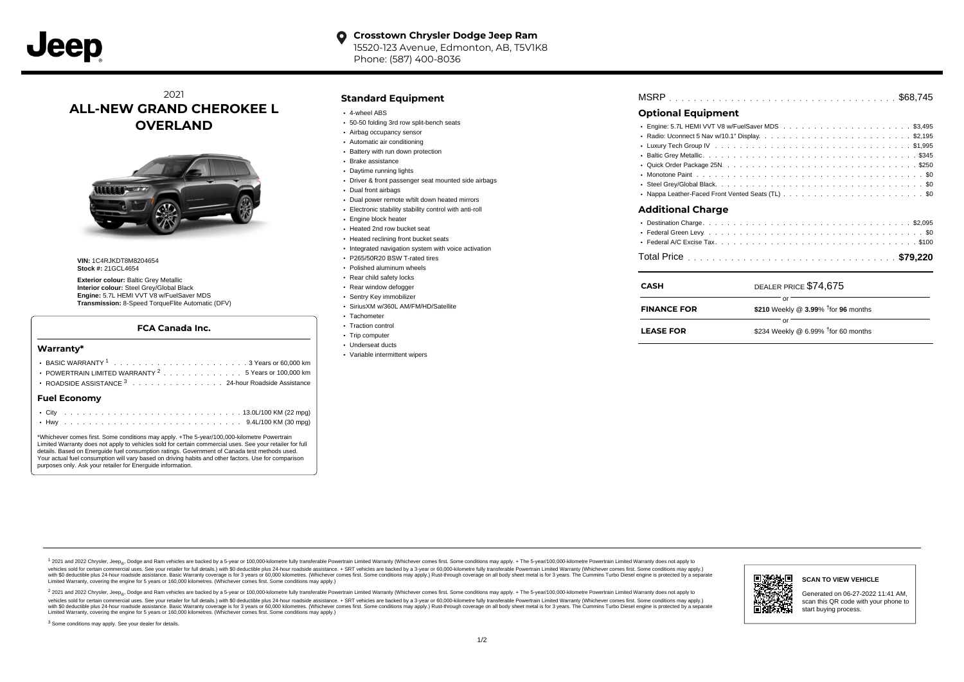## 2021 **ALL-NEW GRAND CHEROKEE L OVERLAND**



**VIN: 1C4R KDT8M8204654 Stock #: 21GCL4654** 

**Exterior colour:** Baltic Grey Metallic **Interior colour:** Steel Grey/Global Black **Engine:** 5.7L HEMI VVT V8 w/FuelSaver MDS **Transmission:** 8-Speed TorqueFlite Automatic (DFV)

#### **FCA Canada Inc.**

#### BASIC WARRANTY  $1, \ldots, \ldots, \ldots, \ldots, \ldots, \ldots, \ldots, \ldots, \ldots$  . . . . . . . . . 60,000 km POWERTRAIN LIMITED WARRANTY  $2, \ldots, \ldots, \ldots, \ldots, 5$  Years or 100,000 km ROADSIDE ASSISTANCE 3 . . . . . . . . . . . . . . . 24-hour Roadside Assistance . . . . . . . . . . . . . . . . . . . . . . . . . . . . . . . . . . . . . . . . . . . City 13.0L/100 KM (22 mpg) . . . . . . . . . . . . . . . . . . . . . . . . . . . . . . . . . . . . . . . . . . . Hwy 9.4L/100 KM (30 mpg) **Warranty\* Fuel Economy** \*Whichever comes first. Some conditions may apply. +The 5-year/100,000-kilometre Powertrain Limited Warranty does not apply to vehicles sold for certain commercial uses. See your retailer for full details. Based on Energuide fuel consumption ratings. Government of Canada test methods used. Your actual fuel consumption will vary based on driving habits and other factors. Use for comparison

#### **Standard Equipment**

- 4-wheel ABS
- 50-50 folding 3rd row split-bench seats
- Airbag occupancy sensor
- Automatic air conditioning
- Battery with run down protection
- Brake assistance
- Daytime running lights
- Driver & front passenger seat mounted side airbags
- Dual front airbags
- Dual power remote w/tilt down heated mirrors
- Electronic stability stability control with anti-roll
- **Engine block heater**
- Heated 2nd row bucket seat
- Heated reclining front bucket seats
- Integrated navigation system with voice activation
- P265/50R20 BSW T-rated tires
- Polished aluminum wheels
- Rear child safety locks
- Rear window defogger
- Sentry Key immobilizer
- SiriusXM w/360L AM/FM/HD/Satellite
- Tachometer
- Traction control • Trip computer
- 
- Underseat ducts
- Variable intermittent wipers

## **Optional Equipment**

| Additional Charge |
|-------------------|
|                   |
|                   |
|                   |
|                   |

| <b>CASH</b>        | DEALER PRICE \$74,675                                    |
|--------------------|----------------------------------------------------------|
| <b>FINANCE FOR</b> | Ωr<br>\$210 Weekly @ $3.99\%$ <sup>†</sup> for 96 months |
| <b>LEASE FOR</b>   | \$234 Weekly @ 6.99% $†$ for 60 months                   |

1 2021 and 2022 Chrysler, Jeep<sub>en</sub> Dodge and Ram vehicles are backed by a 5-year or 100,000-kilometre fully transferable Powertrain Limited Warranty (Whichever comes first. Some conditions may apply. + The 5-year/100,000-k rebicles sold for certain commercial uses. See your retailer for full details) with S0 deductible plus 24-hour madside assistance. + SRT vehicles are backed by a 3-year or 60.000-kilometre fully transferable Powertrain Lim ventals and contract when the contract when the contract you contract when the contract when the control of the set of a set of a set of a set of 3 years of 60,000 kilometres. Whichever comes first. Some conditions may app Limited Warranty, covering the engine for 5 years or 160,000 kilometres. (Whichever comes first. Some conditions may apply.)

2 2021 and 2022 Chrysler, Jeep<sub>es</sub> Dodge and Ram vehicles are backed by a 5-year or 100,000-kilometre fully transferable Powertrain Limited Warranty (Whichever comes first. Some conditions may apply. + The 5-year/100,000-k vehicles sold for certain commercial uses. See your retailer for full details.) with SO deductible plus 24-hour roadside assistance. + SRT vehicles are backed by a 3-year or 60.000-kilometre fully transferable Powertrain L with S0 deductible plus 24-hour roadside assistance. Basic Warranty coverage is for 3 years or 60,000 kilometres. (Whichever comes first. Some conditions may apply.) Rust-through coverage on all body sheet metal is for 3 y



Generated on 06-27-2022 11:41 AM, scan this QR code with your phone to

<sup>3</sup> Some conditions may apply. See your dealer for details.

purposes only. Ask your retailer for Energuide information.